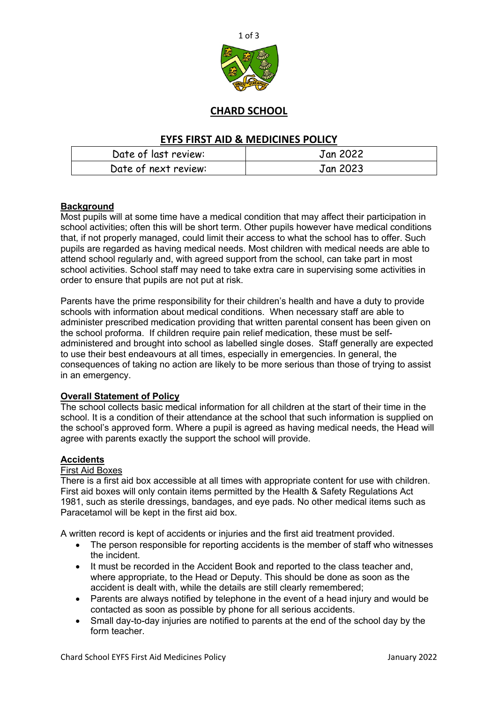

# **CHARD SCHOOL**

## **EYFS FIRST AID & MEDICINES POLICY**

| Date of last review: | Jan 2022 |
|----------------------|----------|
| Date of next review: | Jan 2023 |

## **Background**

Most pupils will at some time have a medical condition that may affect their participation in school activities; often this will be short term. Other pupils however have medical conditions that, if not properly managed, could limit their access to what the school has to offer. Such pupils are regarded as having medical needs. Most children with medical needs are able to attend school regularly and, with agreed support from the school, can take part in most school activities. School staff may need to take extra care in supervising some activities in order to ensure that pupils are not put at risk.

Parents have the prime responsibility for their children's health and have a duty to provide schools with information about medical conditions. When necessary staff are able to administer prescribed medication providing that written parental consent has been given on the school proforma. If children require pain relief medication, these must be selfadministered and brought into school as labelled single doses. Staff generally are expected to use their best endeavours at all times, especially in emergencies. In general, the consequences of taking no action are likely to be more serious than those of trying to assist in an emergency.

## **Overall Statement of Policy**

The school collects basic medical information for all children at the start of their time in the school. It is a condition of their attendance at the school that such information is supplied on the school's approved form. Where a pupil is agreed as having medical needs, the Head will agree with parents exactly the support the school will provide.

## **Accidents**

#### First Aid Boxes

There is a first aid box accessible at all times with appropriate content for use with children. First aid boxes will only contain items permitted by the Health & Safety Regulations Act 1981, such as sterile dressings, bandages, and eye pads. No other medical items such as Paracetamol will be kept in the first aid box.

A written record is kept of accidents or injuries and the first aid treatment provided.

- The person responsible for reporting accidents is the member of staff who witnesses the incident.
- It must be recorded in the Accident Book and reported to the class teacher and, where appropriate, to the Head or Deputy. This should be done as soon as the accident is dealt with, while the details are still clearly remembered;
- Parents are always notified by telephone in the event of a head injury and would be contacted as soon as possible by phone for all serious accidents.
- Small day-to-day injuries are notified to parents at the end of the school day by the form teacher.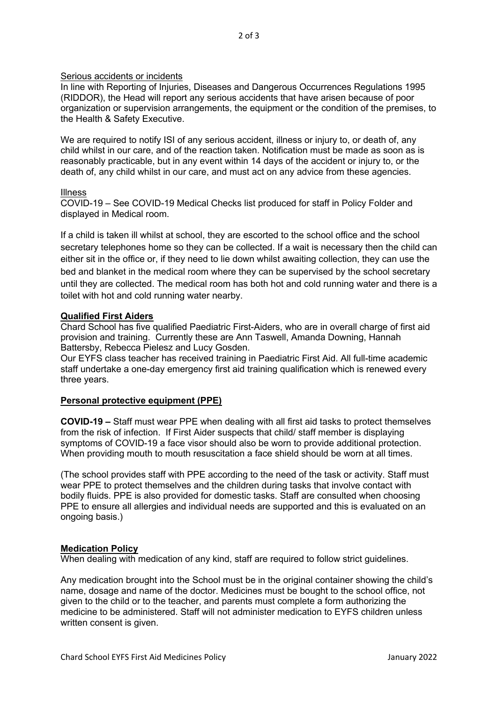#### Serious accidents or incidents

In line with Reporting of Injuries, Diseases and Dangerous Occurrences Regulations 1995 (RIDDOR), the Head will report any serious accidents that have arisen because of poor organization or supervision arrangements, the equipment or the condition of the premises, to the Health & Safety Executive.

We are required to notify ISI of any serious accident, illness or injury to, or death of, any child whilst in our care, and of the reaction taken. Notification must be made as soon as is reasonably practicable, but in any event within 14 days of the accident or injury to, or the death of, any child whilst in our care, and must act on any advice from these agencies.

#### Illness

COVID-19 – See COVID-19 Medical Checks list produced for staff in Policy Folder and displayed in Medical room.

If a child is taken ill whilst at school, they are escorted to the school office and the school secretary telephones home so they can be collected. If a wait is necessary then the child can either sit in the office or, if they need to lie down whilst awaiting collection, they can use the bed and blanket in the medical room where they can be supervised by the school secretary until they are collected. The medical room has both hot and cold running water and there is a toilet with hot and cold running water nearby.

#### **Qualified First Aiders**

Chard School has five qualified Paediatric First-Aiders, who are in overall charge of first aid provision and training. Currently these are Ann Taswell, Amanda Downing, Hannah Battersby, Rebecca Pielesz and Lucy Gosden.

Our EYFS class teacher has received training in Paediatric First Aid. All full-time academic staff undertake a one-day emergency first aid training qualification which is renewed every three years.

## **Personal protective equipment (PPE)**

**COVID-19 –** Staff must wear PPE when dealing with all first aid tasks to protect themselves from the risk of infection. If First Aider suspects that child/ staff member is displaying symptoms of COVID-19 a face visor should also be worn to provide additional protection. When providing mouth to mouth resuscitation a face shield should be worn at all times.

(The school provides staff with PPE according to the need of the task or activity. Staff must wear PPE to protect themselves and the children during tasks that involve contact with bodily fluids. PPE is also provided for domestic tasks. Staff are consulted when choosing PPE to ensure all allergies and individual needs are supported and this is evaluated on an ongoing basis.)

#### **Medication Policy**

When dealing with medication of any kind, staff are required to follow strict guidelines.

Any medication brought into the School must be in the original container showing the child's name, dosage and name of the doctor. Medicines must be bought to the school office, not given to the child or to the teacher, and parents must complete a form authorizing the medicine to be administered. Staff will not administer medication to EYFS children unless written consent is given.